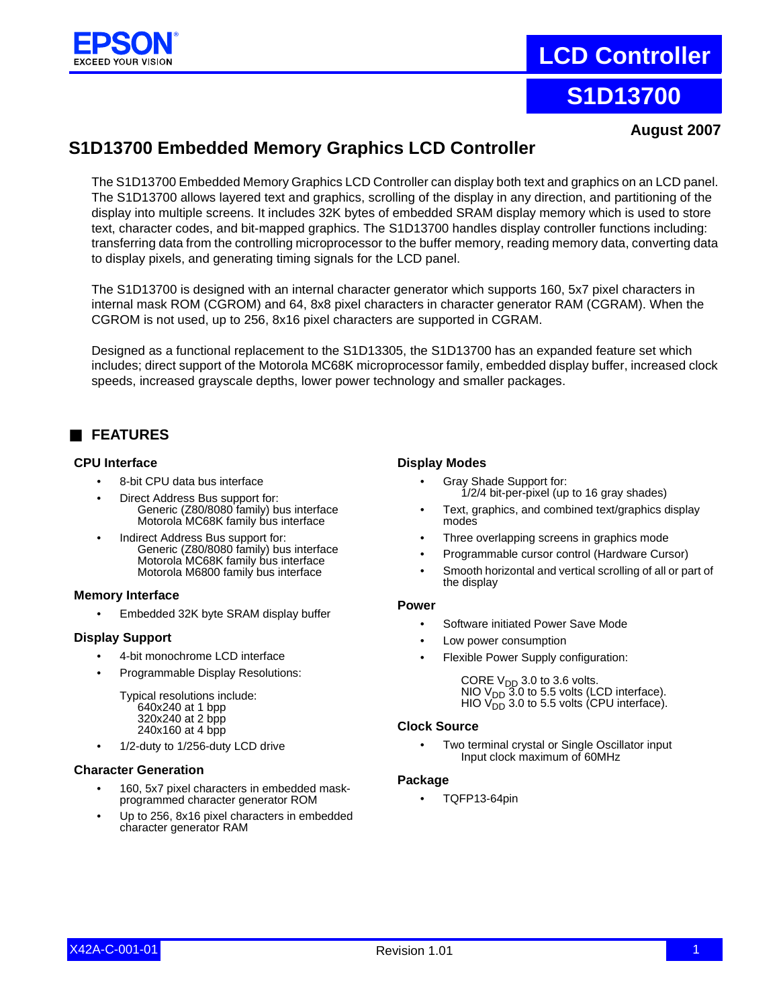

# **LCD Controller**

# **S1D13700**

**August 2007**

# **S1D13700 Embedded Memory Graphics LCD Controller**

The S1D13700 Embedded Memory Graphics LCD Controller can display both text and graphics on an LCD panel. The S1D13700 allows layered text and graphics, scrolling of the display in any direction, and partitioning of the display into multiple screens. It includes 32K bytes of embedded SRAM display memory which is used to store text, character codes, and bit-mapped graphics. The S1D13700 handles display controller functions including: transferring data from the controlling microprocessor to the buffer memory, reading memory data, converting data to display pixels, and generating timing signals for the LCD panel.

The S1D13700 is designed with an internal character generator which supports 160, 5x7 pixel characters in internal mask ROM (CGROM) and 64, 8x8 pixel characters in character generator RAM (CGRAM). When the CGROM is not used, up to 256, 8x16 pixel characters are supported in CGRAM.

Designed as a functional replacement to the S1D13305, the S1D13700 has an expanded feature set which includes; direct support of the Motorola MC68K microprocessor family, embedded display buffer, increased clock speeds, increased grayscale depths, lower power technology and smaller packages.

# ■ **FEATURES**

### **CPU Interface**

- 8-bit CPU data bus interface
- Direct Address Bus support for: Generic (Z80/8080 family) bus interface Motorola MC68K family bus interface
- Indirect Address Bus support for: Generic (Z80/8080 family) bus interface Motorola MC68K family bus interface Motorola M6800 family bus interface

## **Memory Interface**

• Embedded 32K byte SRAM display buffer

## **Display Support**

- 4-bit monochrome LCD interface
- Programmable Display Resolutions:

Typical resolutions include: 640x240 at 1 bpp 320x240 at 2 bpp 240x160 at 4 bpp

• 1/2-duty to 1/256-duty LCD drive

#### **Character Generation**

- 160, 5x7 pixel characters in embedded maskprogrammed character generator ROM
- Up to 256, 8x16 pixel characters in embedded character generator RAM

#### **Display Modes**

- Gray Shade Support for: 1/2/4 bit-per-pixel (up to 16 gray shades)
- Text, graphics, and combined text/graphics display modes
- Three overlapping screens in graphics mode
- Programmable cursor control (Hardware Cursor)
- Smooth horizontal and vertical scrolling of all or part of the display

#### **Power**

- Software initiated Power Save Mode
- Low power consumption
- Flexible Power Supply configuration:

CORE  $V_{DD}$  3.0 to 3.6 volts.  $NIO$   $V_{DD}$  3.0 to 5.5 volts (LCD interface). HIO  $V_{DD}^-$  3.0 to 5.5 volts (CPU interface).

### **Clock Source**

• Two terminal crystal or Single [Oscillator](https://www.application-datasheet.com/) input Input clock maximum of 60MHz

#### **Package**

• TQFP13-64pin